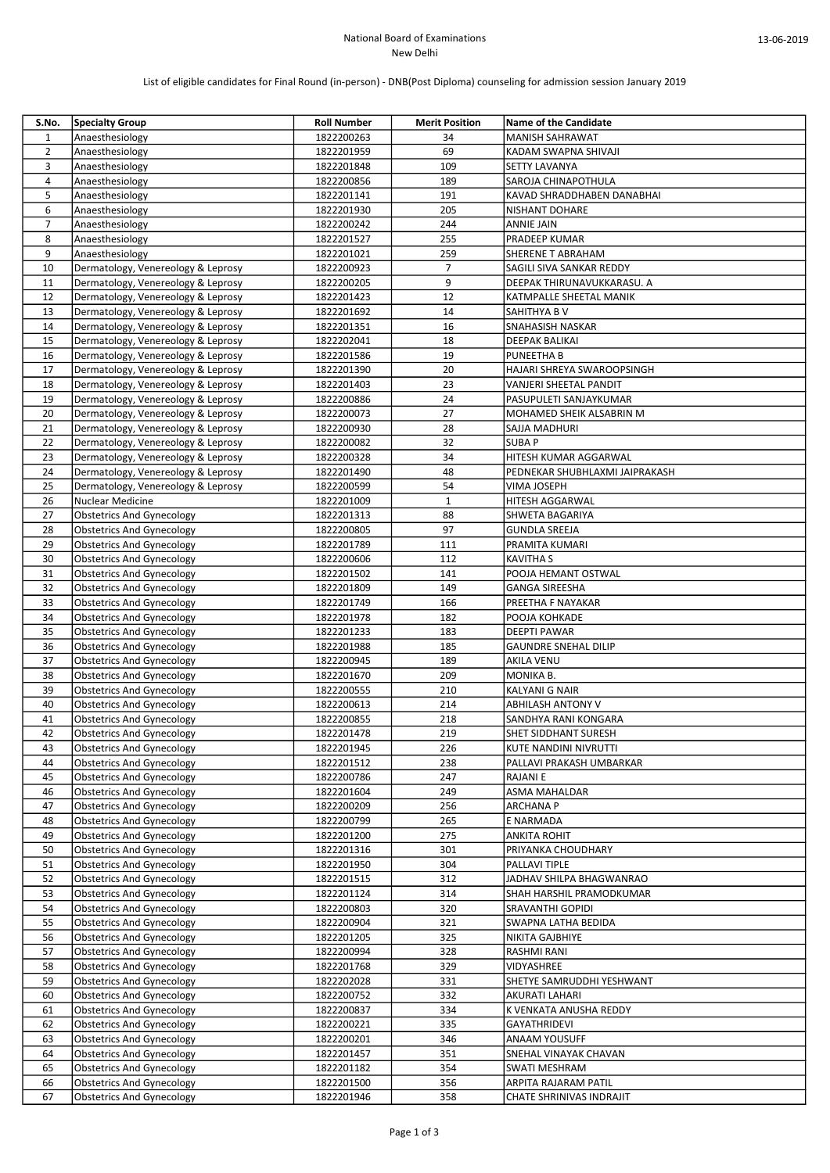## National Board of Examinations New Delhi

# List of eligible candidates for Final Round (in-person) - DNB(Post Diploma) counseling for admission session January 2019

| S.No.          | <b>Specialty Group</b>             | <b>Roll Number</b> | <b>Merit Position</b> | <b>Name of the Candidate</b>   |
|----------------|------------------------------------|--------------------|-----------------------|--------------------------------|
| $\mathbf{1}$   | Anaesthesiology                    | 1822200263         | 34                    | <b>MANISH SAHRAWAT</b>         |
| $\overline{2}$ | Anaesthesiology                    | 1822201959         | 69                    | KADAM SWAPNA SHIVAJI           |
| 3              | Anaesthesiology                    | 1822201848         | 109                   | SETTY LAVANYA                  |
| 4              | Anaesthesiology                    | 1822200856         | 189                   | SAROJA CHINAPOTHULA            |
| 5              | Anaesthesiology                    | 1822201141         | 191                   | KAVAD SHRADDHABEN DANABHAI     |
| 6              | Anaesthesiology                    | 1822201930         | 205                   | <b>NISHANT DOHARE</b>          |
| $\overline{7}$ | Anaesthesiology                    | 1822200242         | 244                   | <b>ANNIE JAIN</b>              |
| 8              | Anaesthesiology                    | 1822201527         | 255                   | PRADEEP KUMAR                  |
| 9              | Anaesthesiology                    | 1822201021         | 259                   | <b>SHERENE T ABRAHAM</b>       |
| 10             | Dermatology, Venereology & Leprosy | 1822200923         | $\overline{7}$        | SAGILI SIVA SANKAR REDDY       |
| 11             | Dermatology, Venereology & Leprosy | 1822200205         | 9                     | DEEPAK THIRUNAVUKKARASU. A     |
| 12             | Dermatology, Venereology & Leprosy | 1822201423         | 12                    | KATMPALLE SHEETAL MANIK        |
| 13             | Dermatology, Venereology & Leprosy | 1822201692         | 14                    | <b>SAHITHYA B V</b>            |
| 14             | Dermatology, Venereology & Leprosy | 1822201351         | 16                    | <b>SNAHASISH NASKAR</b>        |
| 15             | Dermatology, Venereology & Leprosy | 1822202041         | 18                    | DEEPAK BALIKAI                 |
| 16             | Dermatology, Venereology & Leprosy | 1822201586         | 19                    | <b>PUNEETHA B</b>              |
| 17             | Dermatology, Venereology & Leprosy | 1822201390         | 20                    | HAJARI SHREYA SWAROOPSINGH     |
| 18             | Dermatology, Venereology & Leprosy | 1822201403         | 23                    | VANJERI SHEETAL PANDIT         |
| 19             | Dermatology, Venereology & Leprosy | 1822200886         | 24                    | PASUPULETI SANJAYKUMAR         |
| 20             | Dermatology, Venereology & Leprosy | 1822200073         | 27                    | MOHAMED SHEIK ALSABRIN M       |
| 21             | Dermatology, Venereology & Leprosy | 1822200930         | 28                    | SAJJA MADHURI                  |
| 22             | Dermatology, Venereology & Leprosy | 1822200082         | 32                    | <b>SUBAP</b>                   |
| 23             | Dermatology, Venereology & Leprosy | 1822200328         | 34                    | HITESH KUMAR AGGARWAL          |
| 24             | Dermatology, Venereology & Leprosy | 1822201490         | 48                    | PEDNEKAR SHUBHLAXMI JAIPRAKASH |
| 25             | Dermatology, Venereology & Leprosy | 1822200599         | 54                    | VIMA JOSEPH                    |
| 26             | Nuclear Medicine                   | 1822201009         | $\mathbf{1}$          | <b>HITESH AGGARWAL</b>         |
| 27             | <b>Obstetrics And Gynecology</b>   | 1822201313         | 88                    | SHWETA BAGARIYA                |
| 28             | <b>Obstetrics And Gynecology</b>   | 1822200805         | 97                    | <b>GUNDLA SREEJA</b>           |
| 29             | <b>Obstetrics And Gynecology</b>   | 1822201789         | 111                   | PRAMITA KUMARI                 |
| 30             | <b>Obstetrics And Gynecology</b>   | 1822200606         | 112                   | <b>KAVITHA S</b>               |
| 31             | <b>Obstetrics And Gynecology</b>   | 1822201502         | 141                   | POOJA HEMANT OSTWAL            |
| 32             | <b>Obstetrics And Gynecology</b>   | 1822201809         | 149                   | <b>GANGA SIREESHA</b>          |
| 33             | <b>Obstetrics And Gynecology</b>   | 1822201749         | 166                   | PREETHA F NAYAKAR              |
| 34             | <b>Obstetrics And Gynecology</b>   | 1822201978         | 182                   | POOJA KOHKADE                  |
| 35             | <b>Obstetrics And Gynecology</b>   | 1822201233         | 183                   | <b>DEEPTI PAWAR</b>            |
| 36             | <b>Obstetrics And Gynecology</b>   | 1822201988         | 185                   | <b>GAUNDRE SNEHAL DILIP</b>    |
| 37             | <b>Obstetrics And Gynecology</b>   | 1822200945         | 189                   | AKILA VENU                     |
| 38             | <b>Obstetrics And Gynecology</b>   | 1822201670         | 209                   | MONIKA B.                      |
| 39             | <b>Obstetrics And Gynecology</b>   | 1822200555         | 210                   | KALYANI G NAIR                 |
| 40             | <b>Obstetrics And Gynecology</b>   | 1822200613         | 214                   | <b>ABHILASH ANTONY V</b>       |
| 41             | <b>Obstetrics And Gynecology</b>   | 1822200855         | 218                   | SANDHYA RANI KONGARA           |
| 42             | <b>Obstetrics And Gynecology</b>   | 1822201478         | 219                   | SHET SIDDHANT SURESH           |
| 43             | <b>Obstetrics And Gynecology</b>   | 1822201945         | 226                   | KUTE NANDINI NIVRUTTI          |
| 44             | <b>Obstetrics And Gynecology</b>   | 1822201512         | 238                   | PALLAVI PRAKASH UMBARKAR       |
| 45             | <b>Obstetrics And Gynecology</b>   | 1822200786         | 247                   | RAJANI E                       |
| 46             | <b>Obstetrics And Gynecology</b>   | 1822201604         | 249                   | ASMA MAHALDAR                  |
| 47             | <b>Obstetrics And Gynecology</b>   | 1822200209         | 256                   | <b>ARCHANA P</b>               |
| 48             | Obstetrics And Gynecology          | 1822200799         | 265                   | E NARMADA                      |
| 49             | <b>Obstetrics And Gynecology</b>   | 1822201200         | 275                   | ANKITA ROHIT                   |
| 50             | <b>Obstetrics And Gynecology</b>   | 1822201316         | 301                   | PRIYANKA CHOUDHARY             |
| 51             | <b>Obstetrics And Gynecology</b>   | 1822201950         | 304                   | PALLAVI TIPLE                  |
| 52             | <b>Obstetrics And Gynecology</b>   | 1822201515         | 312                   | JADHAV SHILPA BHAGWANRAO       |
| 53             | <b>Obstetrics And Gynecology</b>   | 1822201124         | 314                   | SHAH HARSHIL PRAMODKUMAR       |
| 54             | <b>Obstetrics And Gynecology</b>   | 1822200803         | 320                   | <b>SRAVANTHI GOPIDI</b>        |
| 55             | <b>Obstetrics And Gynecology</b>   | 1822200904         | 321                   | SWAPNA LATHA BEDIDA            |
| 56             | <b>Obstetrics And Gynecology</b>   | 1822201205         | 325                   | NIKITA GAJBHIYE                |
| 57             | <b>Obstetrics And Gynecology</b>   | 1822200994         | 328                   | RASHMI RANI                    |
| 58             | <b>Obstetrics And Gynecology</b>   | 1822201768         | 329                   | VIDYASHREE                     |
| 59             | <b>Obstetrics And Gynecology</b>   | 1822202028         | 331                   | SHETYE SAMRUDDHI YESHWANT      |
| 60             | <b>Obstetrics And Gynecology</b>   | 1822200752         | 332                   | <b>AKURATI LAHARI</b>          |
| 61             | <b>Obstetrics And Gynecology</b>   | 1822200837         | 334                   | K VENKATA ANUSHA REDDY         |
| 62             | <b>Obstetrics And Gynecology</b>   | 1822200221         | 335                   | GAYATHRIDEVI                   |
| 63             | <b>Obstetrics And Gynecology</b>   | 1822200201         | 346                   | <b>ANAAM YOUSUFF</b>           |
| 64             | <b>Obstetrics And Gynecology</b>   | 1822201457         | 351                   | <b>SNEHAL VINAYAK CHAVAN</b>   |
| 65             | <b>Obstetrics And Gynecology</b>   | 1822201182         | 354                   | SWATI MESHRAM                  |
| 66             | <b>Obstetrics And Gynecology</b>   | 1822201500         | 356                   | ARPITA RAJARAM PATIL           |
| 67             | <b>Obstetrics And Gynecology</b>   | 1822201946         | 358                   | CHATE SHRINIVAS INDRAJIT       |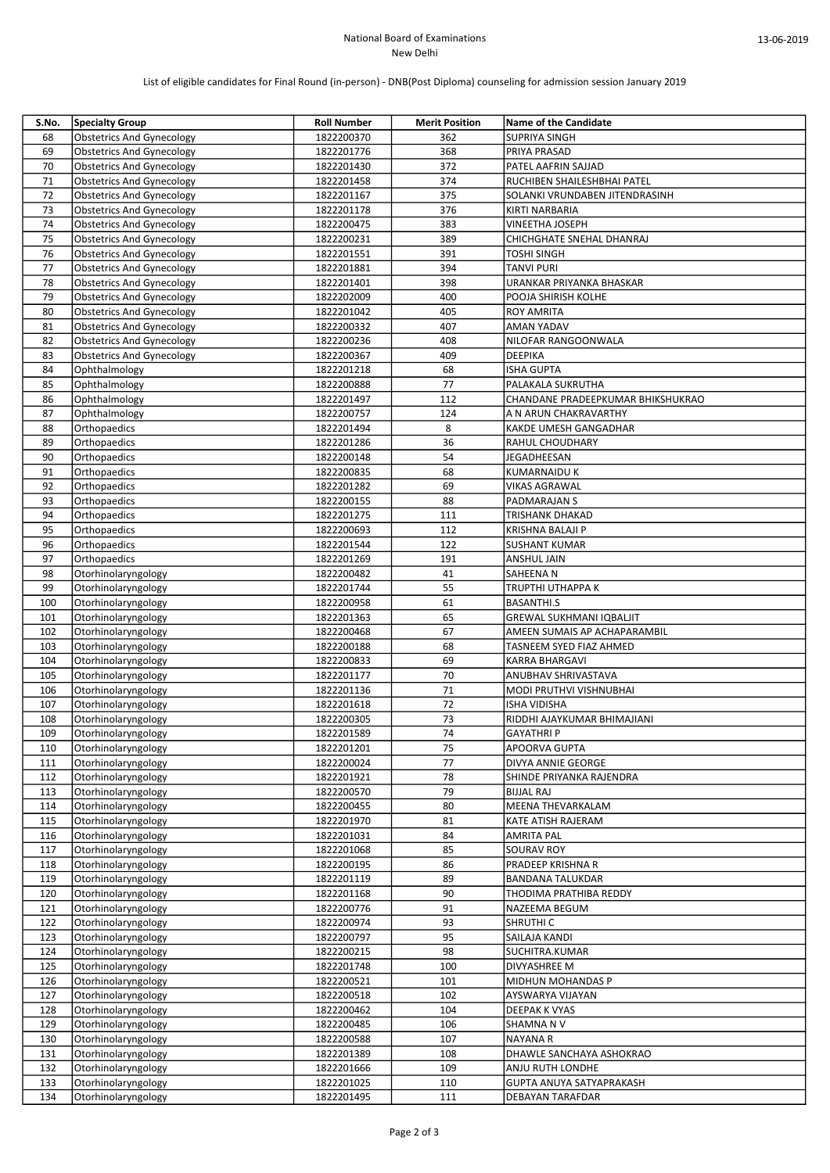## National Board of Examinations New Delhi

# List of eligible candidates for Final Round (in-person) - DNB(Post Diploma) counseling for admission session January 2019

| S.No. | <b>Specialty Group</b>           | <b>Roll Number</b> | <b>Merit Position</b> | <b>Name of the Candidate</b>      |
|-------|----------------------------------|--------------------|-----------------------|-----------------------------------|
| 68    | <b>Obstetrics And Gynecology</b> | 1822200370         | 362                   | <b>SUPRIYA SINGH</b>              |
| 69    | <b>Obstetrics And Gynecology</b> | 1822201776         | 368                   | PRIYA PRASAD                      |
| 70    | <b>Obstetrics And Gynecology</b> | 1822201430         | 372                   | PATEL AAFRIN SAJJAD               |
| 71    | <b>Obstetrics And Gynecology</b> | 1822201458         | 374                   | RUCHIBEN SHAILESHBHAI PATEL       |
| 72    | <b>Obstetrics And Gynecology</b> | 1822201167         | 375                   | SOLANKI VRUNDABEN JITENDRASINH    |
| 73    | <b>Obstetrics And Gynecology</b> | 1822201178         | 376                   | KIRTI NARBARIA                    |
| 74    | <b>Obstetrics And Gynecology</b> | 1822200475         | 383                   | VINEETHA JOSEPH                   |
| 75    | <b>Obstetrics And Gynecology</b> | 1822200231         | 389                   | CHICHGHATE SNEHAL DHANRAJ         |
|       |                                  |                    |                       |                                   |
| 76    | <b>Obstetrics And Gynecology</b> | 1822201551         | 391                   | <b>TOSHI SINGH</b>                |
| 77    | <b>Obstetrics And Gynecology</b> | 1822201881         | 394                   | <b>TANVI PURI</b>                 |
| 78    | <b>Obstetrics And Gynecology</b> | 1822201401         | 398                   | URANKAR PRIYANKA BHASKAR          |
| 79    | <b>Obstetrics And Gynecology</b> | 1822202009         | 400                   | POOJA SHIRISH KOLHE               |
| 80    | <b>Obstetrics And Gynecology</b> | 1822201042         | 405                   | <b>ROY AMRITA</b>                 |
| 81    | <b>Obstetrics And Gynecology</b> | 1822200332         | 407                   | AMAN YADAV                        |
| 82    | <b>Obstetrics And Gynecology</b> | 1822200236         | 408                   | NILOFAR RANGOONWALA               |
| 83    | <b>Obstetrics And Gynecology</b> | 1822200367         | 409                   | <b>DEEPIKA</b>                    |
| 84    | Ophthalmology                    | 1822201218         | 68                    | <b>ISHA GUPTA</b>                 |
| 85    | Ophthalmology                    | 1822200888         | 77                    | PALAKALA SUKRUTHA                 |
| 86    | Ophthalmology                    | 1822201497         | 112                   | CHANDANE PRADEEPKUMAR BHIKSHUKRAO |
| 87    | Ophthalmology                    | 1822200757         | 124                   | A N ARUN CHAKRAVARTHY             |
| 88    | Orthopaedics                     | 1822201494         | 8                     | <b>KAKDE UMESH GANGADHAR</b>      |
| 89    | Orthopaedics                     | 1822201286         | 36                    | <b>RAHUL CHOUDHARY</b>            |
| 90    | Orthopaedics                     | 1822200148         | 54                    | JEGADHEESAN                       |
| 91    |                                  |                    | 68                    |                                   |
|       | Orthopaedics                     | 1822200835         |                       | <b>KUMARNAIDU K</b>               |
| 92    | Orthopaedics                     | 1822201282         | 69                    | <b>VIKAS AGRAWAL</b>              |
| 93    | Orthopaedics                     | 1822200155         | 88                    | PADMARAJAN S                      |
| 94    | Orthopaedics                     | 1822201275         | 111                   | TRISHANK DHAKAD                   |
| 95    | Orthopaedics                     | 1822200693         | 112                   | KRISHNA BALAJI P                  |
| 96    | Orthopaedics                     | 1822201544         | 122                   | <b>SUSHANT KUMAR</b>              |
| 97    | Orthopaedics                     | 1822201269         | 191                   | ANSHUL JAIN                       |
| 98    | Otorhinolaryngology              | 1822200482         | 41                    | SAHEENA N                         |
| 99    | Otorhinolaryngology              | 1822201744         | 55                    | <b>TRUPTHI UTHAPPA K</b>          |
| 100   | Otorhinolaryngology              | 1822200958         | 61                    | <b>BASANTHI.S</b>                 |
| 101   | Otorhinolaryngology              | 1822201363         | 65                    | <b>GREWAL SUKHMANI IQBALJIT</b>   |
| 102   | Otorhinolaryngology              | 1822200468         | 67                    | AMEEN SUMAIS AP ACHAPARAMBIL      |
| 103   | Otorhinolaryngology              | 1822200188         | 68                    | TASNEEM SYED FIAZ AHMED           |
| 104   | Otorhinolaryngology              | 1822200833         | 69                    | KARRA BHARGAVI                    |
| 105   | Otorhinolaryngology              | 1822201177         | 70                    | ANUBHAV SHRIVASTAVA               |
|       |                                  |                    | 71                    |                                   |
| 106   | Otorhinolaryngology              | 1822201136         |                       | MODI PRUTHVI VISHNUBHAI           |
| 107   | Otorhinolaryngology              | 1822201618         | 72                    | <b>ISHA VIDISHA</b>               |
| 108   | Otorhinolaryngology              | 1822200305         | 73                    | RIDDHI AJAYKUMAR BHIMAJIANI       |
| 109   | Otorhinolaryngology              | 1822201589         | 74                    | <b>GAYATHRI P</b>                 |
| 110   | Otorhinolaryngology              | 1822201201         | 75                    | <b>APOORVA GUPTA</b>              |
| 111   | Otorhinolaryngology              | 1822200024         | 77                    | DIVYA ANNIE GEORGE                |
| 112   | Otorhinolaryngology              | 1822201921         | 78                    | SHINDE PRIYANKA RAJENDRA          |
| 113   | Otorhinolaryngology              | 1822200570         | 79                    | <b>BIJJAL RAJ</b>                 |
| 114   | Otorhinolaryngology              | 1822200455         | 80                    | MEENA THEVARKALAM                 |
| 115   | Otorhinolaryngology              | 1822201970         | 81                    | KATE ATISH RAJERAM                |
| 116   | Otorhinolaryngology              | 1822201031         | 84                    | <b>AMRITA PAL</b>                 |
| 117   | Otorhinolaryngology              | 1822201068         | 85                    | <b>SOURAV ROY</b>                 |
| 118   | Otorhinolaryngology              | 1822200195         | 86                    | PRADEEP KRISHNA R                 |
| 119   | Otorhinolaryngology              | 1822201119         | 89                    | <b>BANDANA TALUKDAR</b>           |
| 120   | Otorhinolaryngology              | 1822201168         | 90                    | THODIMA PRATHIBA REDDY            |
|       |                                  |                    |                       |                                   |
| 121   | Otorhinolaryngology              | 1822200776         | 91                    | NAZEEMA BEGUM                     |
| 122   | Otorhinolaryngology              | 1822200974         | 93                    | SHRUTHI C                         |
| 123   | Otorhinolaryngology              | 1822200797         | 95                    | SAILAJA KANDI                     |
| 124   | Otorhinolaryngology              | 1822200215         | 98                    | SUCHITRA.KUMAR                    |
| 125   | Otorhinolaryngology              | 1822201748         | 100                   | DIVYASHREE M                      |
| 126   | Otorhinolaryngology              | 1822200521         | 101                   | MIDHUN MOHANDAS P                 |
| 127   | Otorhinolaryngology              | 1822200518         | 102                   | AYSWARYA VIJAYAN                  |
| 128   | Otorhinolaryngology              | 1822200462         | 104                   | DEEPAK K VYAS                     |
| 129   | Otorhinolaryngology              | 1822200485         | 106                   | SHAMNA N V                        |
| 130   | Otorhinolaryngology              | 1822200588         | 107                   | NAYANA R                          |
| 131   | Otorhinolaryngology              | 1822201389         | 108                   | DHAWLE SANCHAYA ASHOKRAO          |
| 132   | Otorhinolaryngology              | 1822201666         | 109                   | ANJU RUTH LONDHE                  |
| 133   | Otorhinolaryngology              | 1822201025         | 110                   | GUPTA ANUYA SATYAPRAKASH          |
|       |                                  |                    |                       |                                   |
| 134   | Otorhinolaryngology              | 1822201495         | 111                   | DEBAYAN TARAFDAR                  |